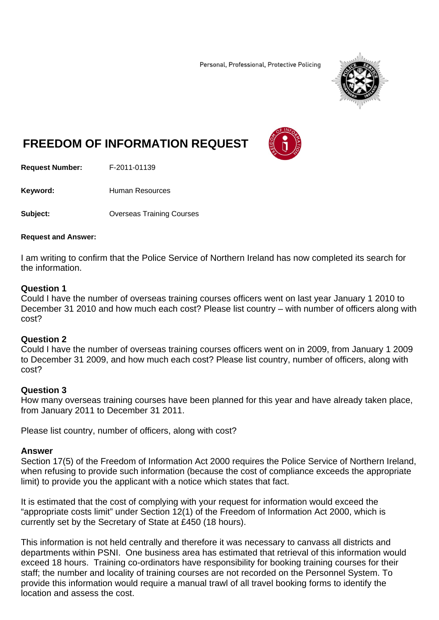Personal, Professional, Protective Policing



# **FREEDOM OF INFORMATION REQUEST**

**Request Number:** F-2011-01139

Keyword: **Human Resources** 

**Subject: Conserverse Courses** Overseas Training Courses

#### **Request and Answer:**

I am writing to confirm that the Police Service of Northern Ireland has now completed its search for the information.

### **Question 1**

Could I have the number of overseas training courses officers went on last year January 1 2010 to December 31 2010 and how much each cost? Please list country – with number of officers along with cost?

#### **Question 2**

Could I have the number of overseas training courses officers went on in 2009, from January 1 2009 to December 31 2009, and how much each cost? Please list country, number of officers, along with cost?

## **Question 3**

How many overseas training courses have been planned for this year and have already taken place, from January 2011 to December 31 2011.

Please list country, number of officers, along with cost?

#### **Answer**

Section 17(5) of the Freedom of Information Act 2000 requires the Police Service of Northern Ireland, when refusing to provide such information (because the cost of compliance exceeds the appropriate limit) to provide you the applicant with a notice which states that fact.

It is estimated that the cost of complying with your request for information would exceed the "appropriate costs limit" under Section 12(1) of the Freedom of Information Act 2000, which is currently set by the Secretary of State at £450 (18 hours).

This information is not held centrally and therefore it was necessary to canvass all districts and departments within PSNI. One business area has estimated that retrieval of this information would exceed 18 hours. Training co-ordinators have responsibility for booking training courses for their staff; the number and locality of training courses are not recorded on the Personnel System. To provide this information would require a manual trawl of all travel booking forms to identify the location and assess the cost.